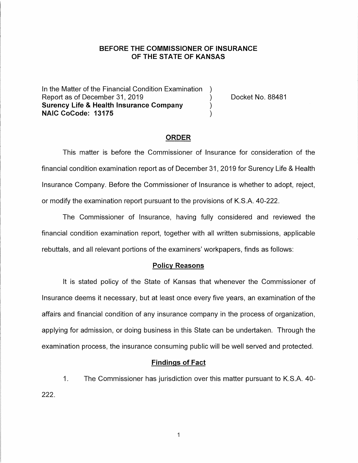### **BEFORE THE COMMISSIONER OF INSURANCE OF THE STATE OF KANSAS**

In the Matter of the Financial Condition Examination ) Report as of December 31, 2019 (and the control of the Docket No. 88481) **Surency Life & Health Insurance Company** ) **NAIC CoCode: 13175** )

#### **ORDER**

This matter is before the Commissioner of Insurance for consideration of the financial condition examination report as of December 31, 2019 for Surency Life & Health Insurance Company. Before the Commissioner of Insurance is whether to adopt, reject, or modify the examination report pursuant to the provisions of K.S.A. 40-222.

The Commissioner of Insurance, having fully considered and reviewed the financial condition examination report, together with all written submissions, applicable rebuttals, and all relevant portions of the examiners' workpapers, finds as follows:

#### **Policy Reasons**

It is stated policy of the State of Kansas that whenever the Commissioner of Insurance deems it necessary, but at least once every five years, an examination of the affairs and financial condition of any insurance company in the process of organization, applying for admission, or doing business in this State can be undertaken. Through the examination process, the insurance consuming public will be well served and protected.

#### **Findings of Fact**

1. The Commissioner has jurisdiction over this matter pursuant to K.S.A. 40- 222.

 $\mathbf{1}$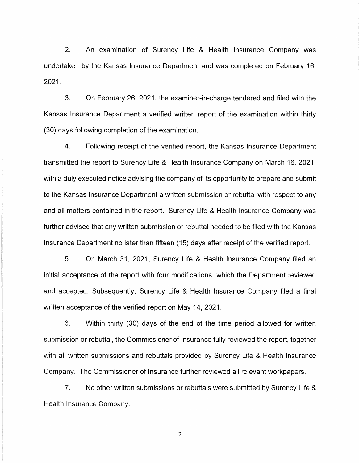2. An examination of Surency Life & Health Insurance Company was undertaken by the Kansas Insurance Department and was completed on February 16, 2021.

3. On February 26, 2021, the examiner-in-charge tendered and filed with the Kansas Insurance Department a verified written report of the examination within thirty (30) days following completion of the examination.

4. Following receipt of the verified report, the Kansas Insurance Department transmitted the report to Surency Life & Health Insurance Company on March 16, 2021, with a duly executed notice advising the company of its opportunity to prepare and submit to the Kansas Insurance Department a written submission or rebuttal with respect to any and all matters contained in the report. Surency Life & Health Insurance Company was further advised that any written submission or rebuttal needed to be filed with the Kansas Insurance Department no later than fifteen (15) days after receipt of the verified report.

5. On March 31, 2021, Surency Life & Health Insurance Company filed an initial acceptance of the report with four modifications, which the Department reviewed and accepted. Subsequently, Surency Life & Health Insurance Company filed a final written acceptance of the verified report on May 14, 2021.

6. Within thirty (30) days of the end of the time period allowed for written submission or rebuttal, the Commissioner of Insurance fully reviewed the report, together with all written submissions and rebuttals provided by Surency Life & Health Insurance Company. The Commissioner of Insurance further reviewed all relevant workpapers.

7. No other written submissions or rebuttals were submitted by Surency Life & Health Insurance Company.

2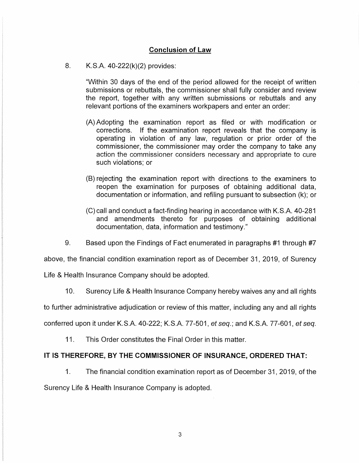## **Conclusion of Law**

### 8. K.S.A. 40-222(k)(2) provides:

"Within 30 days of the end of the period allowed for the receipt of written submissions or rebuttals, the commissioner shall fully consider and review the report, together with any written submissions or rebuttals and any relevant portions of the examiners workpapers and enter an order:

- (A) Adopting the examination report as filed or with modification or corrections. If the examination report reveals that the company is operating in violation of any law, regulation or prior order of the commissioner, the commissioner may order the company to take any action the commissioner considers necessary and appropriate to cure such violations; or
- (B) rejecting the examination report with directions to the examiners to reopen the examination for purposes of obtaining additional data, documentation or information, and refiling pursuant to subsection (k); or
- (C) call and conduct a fact-finding hearing in accordance with K.S.A. 40-281 and amendments thereto for purposes of obtaining additional documentation, data, information and testimony."
- 9. Based upon the Findings of Fact enumerated in paragraphs #1 through #7

above, the financial condition examination report as of December 31, 2019, of Surency

Life & Health Insurance Company should be adopted.

10. Surency Life & Health Insurance Company hereby waives any and all rights

to further administrative adjudication or review of this matter, including any and all rights conferred upon it under K.S.A. 40-222; K.S.A. 77-501, et seq.; and K.S.A. 77-601, et seq.

11. This Order constitutes the Final Order in this matter.

### **IT IS THEREFORE, BY THE COMMISSIONER OF INSURANCE, ORDERED THAT:**

1. The financial condition examination report as of December 31, 2019, of the Surency Life & Health Insurance Company is adopted.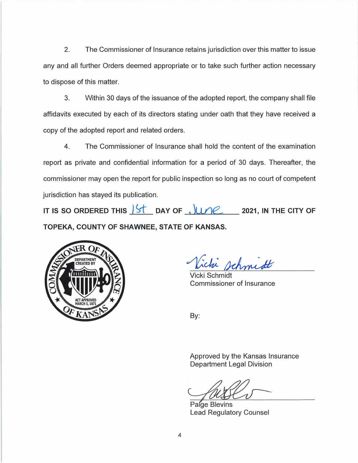2. The Commissioner of Insurance retains jurisdiction over this matter to issue any and all further Orders deemed appropriate or to take such further action necessary to dispose of this matter.

3. Within 30 days of the issuance of the adopted report, the company shall file affidavits executed by each of its directors stating under oath that they have received a copy of the adopted report and related orders.

4. The Commissioner of Insurance shall hold the content of the examination report as private and confidential information for a period of 30 days. Thereafter, the commissioner may open the report for public inspection so long as no court of competent jurisdiction has stayed its publication.

IT IS SO ORDERED THIS  $\begin{array}{c} \begin{array}{c} \end{array}$  DAY OF  $\end{array}$ ,  $\begin{array}{c} \begin{array}{c} \end{array}$  2021, IN THE CITY OF **TOPEKA, COUNTY OF SHAWNEE, STATE OF KANSAS.** 



ichi schmidt

Vicki Schmidt Commissioner of Insurance

By:

Approved by the Kansas Insurance Department Legal Division

Paige Blevins Lead Regulatory Counsel